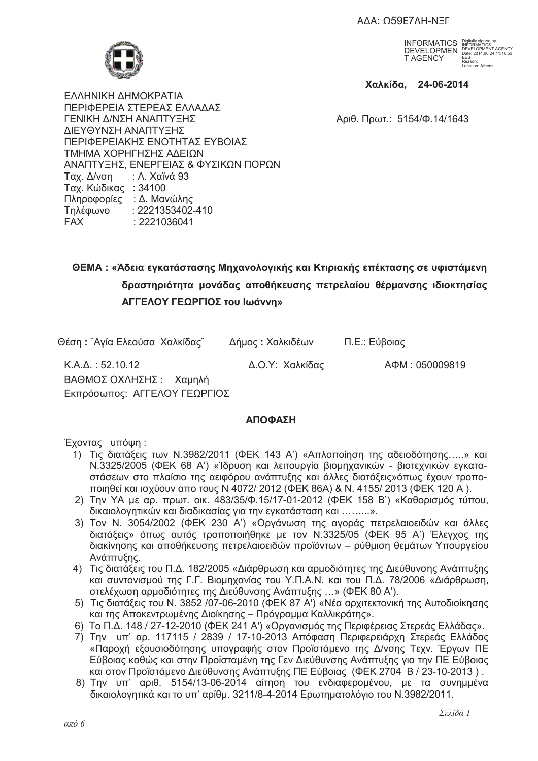AΔA: Ω59E7ΛΗ-ΝΞΓ



INFORMATICS DEVELOPMEN T AGENCY Digitally signed by INFORMATICS DEVELOPMENT AGENCY Date: 2014.06.24 11:18:53 EEST Reason: Location: Athens

 **--, 24-06-2014** 

ΕΛΛΗΝΙΚΗ ΔΗΜΟΚΡΑΤΙΑ ΠΕΡΙΦΕΡΕΙΑ ΣΤΕΡΕΑΣ ΕΛΛΑΔΑΣ ΓΕΝΙΚΗ Δ/ΝΣΗ ΑΝΑΠΤΥΞΗΣ ΣΤΟΥΣ ΤΟ ΚΑΛΙΑ ΤΟ ΑΦΙΘ. Πρωτ.: 5154/Φ.14/1643 ΔΙΕΥΘΥΝΣΗ ΑΝΑΠΤΥΞΗΣ ΠΕΡΙΦΕΡΕΙΑΚΗΣ ΕΝΟΤΗΤΑΣ ΕΥΒΟΙΑΣ ΤΜΗΜΑ ΧΟΡΗΓΗΣΗΣ ΑΔΕΙΩΝ ΑΝΑΠΤΥΞΗΣ, ΕΝΕΡΓΕΙΑΣ & ΦΥΣΙΚΩΝ ΠΟΡΩΝ Tαχ. Δ/νση : Λ. Χαϊνά 93 Ταχ. Κώδικας: 34100 Πληροφορίες : Δ. Μανώλης Tηλέφωνο : 2221353402-410<br>FAX : 2221036041  $: 2221036041$ 

# $\blacksquare$ ΘΕΜΑ : «Άδεια εγκατάστασης Μηχανολογικής και Κτιριακής επέκτασης σε υφιστάμενη δραστηριότητα μονάδας αποθήκευσης πετρελαίου θέρμανσης ιδιοκτησίας **ΑΓΓΕΛΟΥ ΓΕΩΡΓΙΟΣ του Ιωάννη»**

Θέση: "Αγία Ελεούσα Χαλκίδας" Δήμος: Χαλκιδέων Π.Ε.: Εύβοιας

K.Α.Δ.: 52.10.12 Δ.Ο.Υ: Χαλκίδας ΑΦΜ: 050009819 ΒΑΘΜΟΣ ΟΧΛΗΣΗΣ : Χαμηλή Εκπρόσωπος: ΑΓΓΕΛΟΥ ΓΕΩΡΓΙΟΣ

# *<u>ΑΠΟΦΑΣΗ</u>*

Έχοντας υπόψη:

- 1) Τις διατάξεις των Ν.3982/2011 (ΦΕΚ 143 Α') «Απλοποίηση της αδειοδότησης.....» και Ν.3325/2005 (ΦΕΚ 68 Α') «Ίδρυση και λειτουργία βιομηχανικών - βιοτεχνικών ενκαταστάσεων στο πλαίσιο της αειφόρου ανάπτυξης και άλλες διατάξεις»όπως έχουν τροποποιηθεί και ισχύουν απο τους Ν 4072/ 2012 (ΦΕΚ 86Α) & Ν. 4155/ 2013 (ΦΕΚ 120 Α).
- 2) Την ΥΑ με αρ. πρωτ. οικ. 483/35/Φ.15/17-01-2012 (ΦΕΚ 158 Β') «Καθορισμός τύπου. δικαιολογητικών και διαδικασίας για την εγκατάσταση και .........».
- 3) Τον Ν. 3054/2002 (ΦΕΚ 230 Αʹ) «Οργάνωση της αγοράς πετρελαιοειδών και άλλες διατάξεις» όπως αυτός τροποποιήθηκε με τον Ν.3325/05 (ΦΕΚ 95 Α') Έλεγχος της διακίνησης και αποθήκευσης πετρελαιοειδών προϊόντων – ρύθμιση θεμάτων Υπουργείου Ανάπτυξης.
- 4) Τις διατάξεις του Π.Δ. 182/2005 «Διάρθρωση και αρμοδιότητες της Διεύθυνσης Ανάπτυξης και συντονισμού της Γ.Γ. Βιομηχανίας του Υ.Π.Α.Ν. και του Π.Δ. 78/2006 «Διάρθρωση, στελέχωση αρμοδιότητες της Διεύθυνσης Ανάπτυξης ...» (ΦΕΚ 80 Α').
- 5) Τις διατάξεις του Ν. 3852 /07-06-2010 (ΦΕΚ 87 Α') «Νέα αρχιτεκτονική της Αυτοδιοίκησης και της Αποκεντρωμένης Διοίκησης - Πρόγραμμα Καλλικράτης».
- 6) Το Π.Δ. 148 / 27-12-2010 (ΦΕΚ 241 Α') «Οργανισμός της Περιφέρειας Στερεάς Ελλάδας».
- 7) Την υπ' αρ. 117115 / 2839 / 17-10-2013 Απόφαση Περιφερειάρχη Στερεάς Ελλάδας «Παροχή εξουσιοδότησης υπονραφής στον Προϊστάμενο της Δ/νσης Τεχν. Έρνων ΠΕ Εύβοιας καθώς και στην Προϊσταμένη της Γεν Διεύθυνσης Ανάπτυξης για την ΠΕ Εύβοιας και στον Προϊστάμενο Διεύθυνσης Ανάπτυξης ΠΕ Εύβοιας (ΦΕΚ 2704 Β / 23-10-2013).
- 8) Την υπ' αριθ. 5154/13-06-2014 αίτηση του ενδιαφερομένου, με τα συνημμένα δικαιολογητικά και το υπ' αρίθμ. 3211/8-4-2014 Ερωτηματολόγιο του Ν.3982/2011.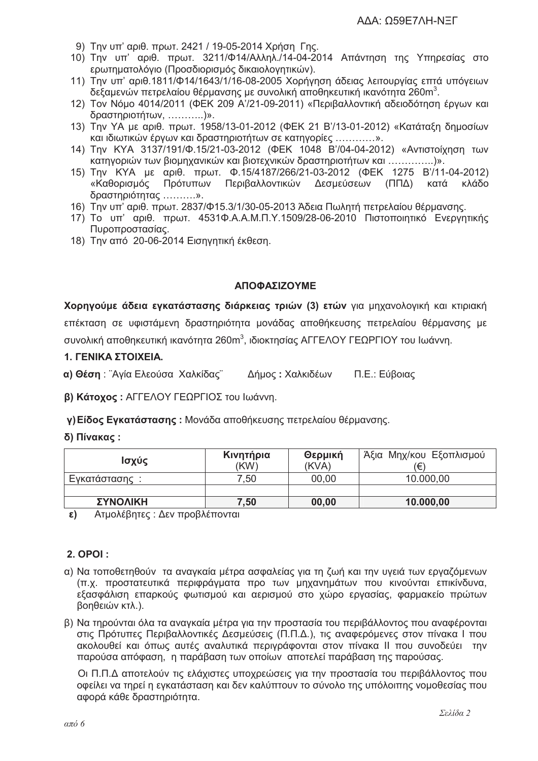- 9) Την υπ' αριθ. πρωτ. 2421 / 19-05-2014 Χρήση Γης.
- 10) Την υπ' αριθ. πρωτ. 3211/Φ14/Αλληλ./14-04-2014 Απάντηση της Υπηρεσίας στο ερωτηματολόγιο (Προσδιορισμός δικαιολογητικών).
- 11) Την υπ' αριθ.1811/Φ14/1643/1/16-08-2005 Χορήνηση άδειας λειτουργίας επτά υπόνειων δεξαμενών πετρελαίου θέρμανσης με συνολική αποθηκευτική ικανότητα 260m<sup>3</sup>.
- 12) Τον Νόμο 4014/2011 (ΦΕΚ 209 Α'/21-09-2011) «Περιβαλλοντική αδειοδότηση έργων και δραστηριοτήτων, ............)».
- 13) Την ΥΑ με αριθ. πρωτ. 1958/13-01-2012 (ΦΕΚ 21 Β'/13-01-2012) «Κατάταξη δημοσίων και ιδιωτικών έργων και δραστηριοτήτων σε κατηγορίες ............».
- 14) Την ΚΥΑ 3137/191/Φ.15/21-03-2012 (ΦΕΚ 1048 Β'/04-04-2012) «Αντιστοίχηση των κατηγοριών των βιομηχανικών και βιοτεχνικών δραστηριοτήτων και ................)».
- 15) Την ΚΥΑ με αριθ. πρωτ. Φ.15/4187/266/21-03-2012 (ΦΕΚ 1275 Β'/11-04-2012) «Καθορισμός Πρότυπων Περιβαλλοντικών Δεσμεύσεων (ΠΠΔ) κατά κλάδο \$ 3 & ……….».
- 16) Την υπ' αριθ. πρωτ. 2837/Φ15.3/1/30-05-2013 Άδεια Πωλητή πετρελαίου θέρμανσης.
- 17) Το υπ' αριθ. πρωτ. 4531Φ.Α.Α.Μ.Π.Υ.1509/28-06-2010 Πιστοποιητικό Ενεργητικής Πυροπροστασίας.
- 18) Την από 20-06-2014 Εισηγητική έκθεση.

## <u>ΑΠΟΦΑΣΙΖΟΥΜΕ</u>

**Χορηγούμε άδεια εγκατάστασης διάρκειας τριών (3) <b>ετών** για μηχανολογική και κτιριακή επέκταση σε υφιστάμενη δραστηριότητα μονάδας αποθήκευσης πετρελαίου θέρμανσης με συνολική αποθηκευτική ικανότητα 260m $^3$ , ιδιοκτησίας ΑΓΓΕΛΟΥ ΓΕΩΡΓΙΟΥ του Ιωάννη.

### **1. ΓΕΝΙΚΑ ΣΤΟΙΧΕΙΑ.**

**α) Θέση** : ¨Αγία Ελεούσα Χαλκίδας¨ Δήμος : Χαλκιδέων Π.Ε.: Εύβοιας

**β) Κάτοχος :** ΑΓΓΕΛΟΥ ΓΕΩΡΓΙΟΣ του Ιωάννη.

**γ)Είδος Εγκατάστασης :** Μονάδα αποθήκευσης πετρελαίου θέρμανσης.

#### **δ) Πίνακας :**

| Ισχύς           | Κινητήρια<br>(KW) | Θερμική<br>(KVA) | Άξια Μηχ/κου Εξοπλισμού<br>'€) |  |  |
|-----------------|-------------------|------------------|--------------------------------|--|--|
| Εγκατάστασης:   | 7.50              | 00,00            | 10.000,00                      |  |  |
|                 |                   |                  |                                |  |  |
| <b>ΣΥΝΟΛΙΚΗ</b> | 7,50              | 00,00            | 10.000,00                      |  |  |

**ε)** Ατμολέβητες : Δεν προβλέπονται

# **2. OPOI**:

- α) Να τοποθετηθούν τα αναγκαία μέτρα ασφαλείας για τη ζωή και την υγειά των εργαζόμενων (π.χ. προστατευτικά περιφράγματα προ των μηχανημάτων που κινούνται επικίνδυνα, εξασφάλιση επαρκούς φωτισμού και αερισμού στο χώρο εργασίας, φαρμακείο πρώτων βοηθειών κτλ.).
- β) Να τηρούνται όλα τα αναγκαία μέτρα για την προστασία του περιβάλλοντος που αναφέρονται στις Πρότυπες Περιβαλλοντικές Δεσμεύσεις (Π.Π.Δ.), τις αναφερόμενες στον πίνακα Ι που ακολουθεί και όπως αυτές αναλυτικά περιγράφονται στον πίνακα II που συνοδεύει την παρούσα απόφαση, η παράβαση των οποίων αποτελεί παράβαση της παρούσας.

Οι Π.Π.Δ αποτελούν τις ελάχιστες υποχρεώσεις για την προστασία του περιβάλλοντος που οφείλει να τηρεί η εγκατάσταση και δεν καλύπτουν το σύνολο της υπόλοιπης νομοθεσίας που αφορά κάθε δραστηριότητα.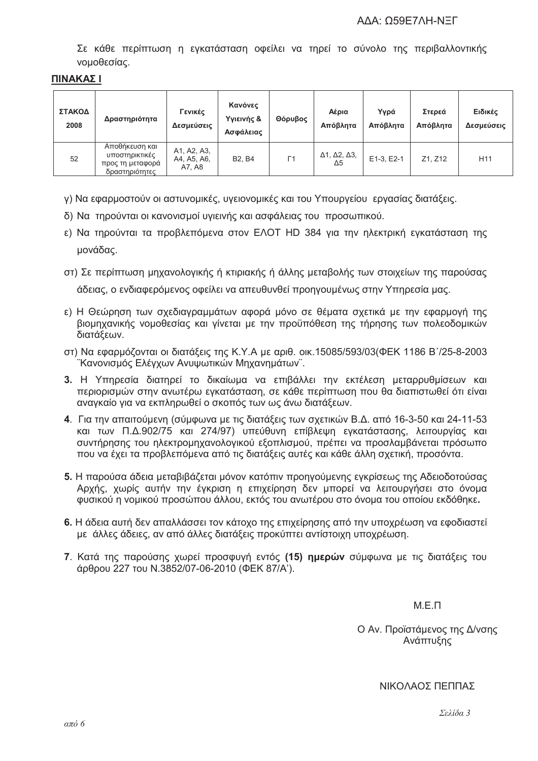Σε κάθε περίπτωση η εγκατάσταση οφείλει να τηρεί το σύνολο της περιβαλλοντικής νομοθεσίας.

#### ΠΙΝΑΚΑΣ Ι

| ΣΤΑΚΟΔ<br>2008 | Δραστηριότητα                                                          | Γενικές<br>Δεσμεύσεις                | Κανόνες<br>Υγιεινής &<br>Ασφάλειας | Θόρυβος | Αέρια<br>Απόβλητα                                 | Υγρά<br>Απόβλητα | Στερεά<br>Απόβλητα | Ειδικές<br>Δεσμεύσεις |
|----------------|------------------------------------------------------------------------|--------------------------------------|------------------------------------|---------|---------------------------------------------------|------------------|--------------------|-----------------------|
| 52             | Αποθήκευση και<br>υποστηρικτικές<br>προς τη μεταφορά<br>δραστηριότητες | A1, A2, A3,<br>A4, A5, A6,<br>A7, A8 | <b>B2. B4</b>                      | Г1      | $\Delta$ 1, $\Delta$ 2, $\Delta$ 3,<br>$\Delta 5$ | E1-3, E2-1       | Z1. Z12            | H <sub>11</sub>       |

γ) Να εφαρμοστούν οι αστυνομικές, υγειονομικές και του Υπουργείου εργασίας διατάξεις.

δ) Να τηρούνται οι κανονισμοί υνιεινής και ασφάλειας του προσωπικού.

ε) Να τηρούνται τα προβλεπόμενα στον ΕΛΟΤ HD 384 για την ηλεκτρική εγκατάσταση της μονάδας.

- στ) Σε περίπτωση μηχανολογικής ή κτιριακής ή άλλης μεταβολής των στοιχείων της παρούσας άδειας, ο ενδιαφερόμενος οφείλει να απευθυνθεί προηγουμένως στην Υπηρεσία μας.
- ε) Η Θεώρηση των σχεδιανραμμάτων αφορά μόνο σε θέματα σχετικά με την εφαρμονή της βιομηχανικής νομοθεσίας και γίνεται με την προϋπόθεση της τήρησης των πολεοδομικών διατάξεων.
- στ) Να εφαρμόζονται οι διατάξεις της Κ.Υ.Α με αριθ. οικ.15085/593/03(ΦΕΚ 1186 Β'/25-8-2003 "Κανονισμός Ελέγχων Ανυψωτικών Μηχανημάτων".
- 3. Η Υπηρεσία διατηρεί το δικαίωμα να επιβάλλει την εκτέλεση μεταρρυθμίσεων και περιορισμών στην ανωτέρω εγκατάσταση, σε κάθε περίπτωση που θα διαπιστωθεί ότι είναι ανανκαίο για να εκπληρωθεί ο σκοπός των ως άνω διατάξεων.
- 4. Για την απαιτούμενη (σύμφωνα με τις διατάξεις των σχετικών Β.Δ. από 16-3-50 και 24-11-53 και των Π.Δ.902/75 και 274/97) υπεύθυνη επίβλεωη ενκατάστασης. λειτουρνίας και συντήρησης του ηλεκτρομηχανολογικού εξοπλισμού, πρέπει να προσλαμβάνεται πρόσωπο που να έχει τα προβλεπόμενα από τις διατάξεις αυτές και κάθε άλλη σχετική, προσόντα.
- 5. Η παρούσα άδεια μεταβιβάζεται μόνον κατόπιν προηγούμενης εγκρίσεως της Αδειοδοτούσας Αρχής, χωρίς αυτήν την έγκριση η επιχείρηση δεν μπορεί να λειτουργήσει στο όνομα φυσικού η νομικού προσώπου άλλου, εκτός του ανωτέρου στο όνομα του οποίου εκδόθηκε,
- 6. Η άδεια αυτή δεν απαλλάσσει τον κάτοχο της επιχείρησης από την υποχρέωση να εφοδιαστεί με άλλες άδειες, αν από άλλες διατάξεις προκύπτει αντίστοιχη υποχρέωση.
- 7. Κατά της παρούσης χωρεί προσφυγή εντός (15) ημερών σύμφωνα με τις διατάξεις του άρθρου 227 του Ν.3852/07-06-2010 (ΦΕΚ 87/Α').

 $M \nvdash \neg$ 

Ο Αν. Προϊστάμενος της Δ/νσης Ανάπτυξης

ΝΙΚΟΛΑΟΣ ΠΕΠΠΑΣ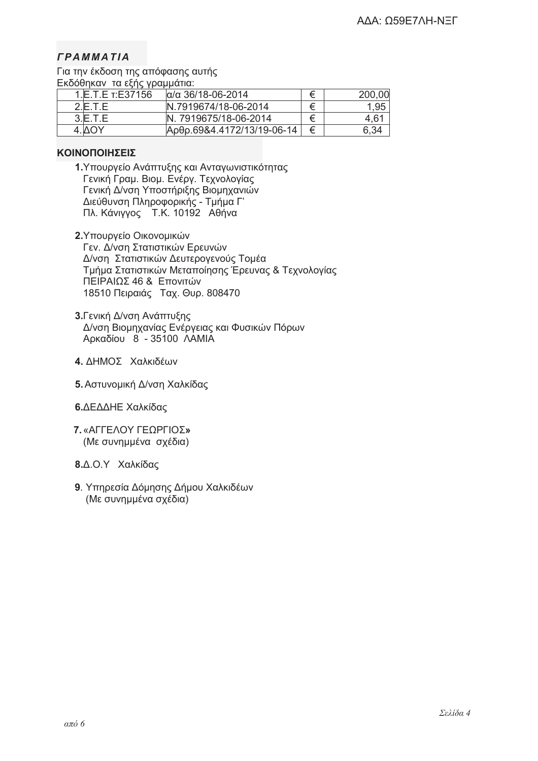# $\Gamma$  *PAMMATIA*

Για την έκδοση της απόφασης αυτής Εκδόθηκαν τα εξής γραμμάτια:

| .<br>I.IE.T.E т:E37156 | $\alpha/\alpha$ 36/18-06-2014 |   | 200,00 |
|------------------------|-------------------------------|---|--------|
| 2 F T F                | N.7919674/18-06-2014          | ⇇ | 1,95   |
| 3.E.T.E                | N. 7919675/18-06-2014         | ⇇ | 4,61   |
|                        | Ардр.69&4.4172/13/19-06-14    |   | 6.34   |

## **KOINOΠOIHΣEIΣ**

- 1. Υπουργείο Ανάπτυξης και Ανταγωνιστικότητας Γενική Γραμ. Βιομ. Ενέργ. Τεχνολογίας Γενική Δ/νση Υποστήριξης Βιομηχανιών Διεύθυνση Πληροφορικής - Τμήμα Γ' Πλ. Κάνιγγος Τ.Κ. 10192 Αθήνα
- **2.**Υπουργείο Οικονομικών Γεν. Δ/νση Στατιστικών Ερευνών Δ/νση Στατιστικών Δευτερογενούς Τομέα Τμήμα Στατιστικών Μεταποίησης Έρευνας & Τεχνολογίας ΠΕΙΡΑΙΩΣ 46 & Επονιτών 18510 Πειραιάς Ταχ. Θυρ. 808470
- **3.** Γενική Δ/νση Ανάπτυξης Δ/νση Βιομηχανίας Ενέργειας και Φυσικών Πόρων Αρκαδίου 8 - 35100 ΛΑΜΙΑ
- **4.** ΔΗΜΟΣ Χαλκιδέων
- 5. Αστυνομική Δ/νση Χαλκίδας
- **6.** ΔΕΔΔΗΕ Χαλκίδας
- **7.** «ΑΓΓΕΛΟΥ ΓΕΩΡΓΙΟΣ**» (Με συνημμένα σχέδια)** 
	- **8.**Δ.Ο.Υ Χαλκίδας
	- **9**. Υπηρεσία Δόμησης Δήμου Χαλκιδέων (Με συνημμένα σχέδια)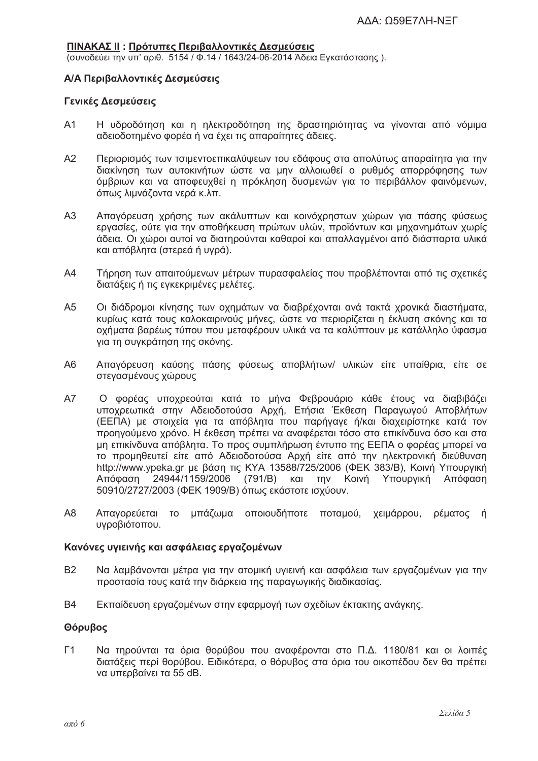#### <u>ΠΙΝΑΚΑΣ ΙΙ</u> : Πρότυπες Περιβαλλοντικές Δεσμεύσεις

(συνοδεύει την υπ' αριθ. 5154 / Φ.14 / 1643/24-06-2014 Άδεια Ενκατάστασης).

#### **Α/Α Περιβαλλοντικές Δεσμεύσεις**

#### **Γενικές Δεσμεύσεις**

- A1 H υδροδότηση και η ηλεκτροδότηση της δραστηριότητας να γίνονται από νόμιμα αδειοδοτημένο φορέα ή να έχει τις απαραίτητες άδειες.
- A2 Περιορισμός των τσιμεντοεπικαλύψεων του εδάφους στα απολύτως απαραίτητα για την διακίνηση των αυτοκινήτων ώστε να μην αλλοιωθεί ο ρυθμός απορρόφησης των όμβριων και να αποφευχθεί η πρόκληση δυσμενών για το περιβάλλον φαινόμενων, όπως λιμνάζοντα νερά κ.λπ.
- A3 Απαγόρευση χρήσης των ακάλυπτων και κοινόχρηστων χώρων για πάσης φύσεως εργασίες, ούτε για την αποθήκευση πρώτων υλών, προϊόντων και μηχανημάτων χωρίς άδεια. Οι χώροι αυτοί να διατηρούνται καθαροί και απαλλαγμένοι από διάσπαρτα υλικά και απόβλητα (στερεά ή υγρά).
- A4 Tήρηση των απαιτούμενων μέτρων πυρασφαλείας που προβλέπονται από τις σχετικές διατάξεις ή τις εγκεκριμένες μελέτες.
- A5 Οι διάδρομοι κίνησης των οχημάτων να διαβρέχονται ανά τακτά χρονικά διαστήματα, κυρίως κατά τους καλοκαιρινούς μήνες, ώστε να περιορίζεται η έκλυση σκόνης και τα οχήματα βαρέως τύπου που μεταφέρουν υλικά να τα καλύπτουν με κατάλληλο ύφασμα για τη συγκράτηση της σκόνης.
- Α6 Απαγόρευση καύσης πάσης φύσεως αποβλήτων/ υλικών είτε υπαίθρια, είτε σε στεγασμένους χώρους
- A7 Ο φορέας υποχρεούται κατά το μήνα Φεβρουάριο κάθε έτους να διαβιβάζει υποχρεωτικά στην Αδειοδοτούσα Αρχή, Ετήσια Έκθεση Παραγωγού Αποβλήτων (ΕΕΠΑ) με στοιχεία για τα απόβλητα που παρήγαγε ή/και διαχειρίστηκε κατά τον προηγούμενο χρόνο. Η έκθεση πρέπει να αναφέρεται τόσο στα επικίνδυνα όσο και στα μη επικίνδυνα απόβλητα. Το προς συμπλήρωση έντυπο της ΕΕΠΑ ο φορέας μπορεί να το προμηθευτεί είτε από Αδειοδοτούσα Αρχή είτε από την ηλεκτρονική διεύθυνση http://www.ypeka.gr με βάση τις KYA 13588/725/2006 (ΦΕΚ 383/Β), Κοινή Υπουργική Απόφαση 24944/1159/2006 (791/B) και την Κοινή Υπουργική Απόφαση 50910/2727/2003 (ΦΕΚ 1909/Β) όπως εκάστοτε ισχύουν.
- Α8 Απαγορεύεται το μπάζωμα οποιουδήποτε ποταμού, χειμάρρου, ρέματος ή υγροβιότοπου.

#### Κανόνες υγιεινής και ασφάλειας εργαζομένων

- B2 Να λαμβάνονται μέτρα για την ατομική υγιεινή και ασφάλεια των εργαζομένων για την προστασία τους κατά την διάρκεια της παραγωγικής διαδικασίας.
- B4 Εκπαίδευση εργαζομένων στην εφαρμογή των σχεδίων έκτακτης ανάγκης.

#### Θόρυβος

Γ1 Να τηρούνται τα όρια θορύβου που αναφέρονται στο Π.Δ. 1180/81 και οι λοιπές διατάξεις περί θορύβου. Ειδικότερα, ο θόρυβος στα όρια του οικοπέδου δεν θα πρέπει να υπερβαίνει τα 55 dB.